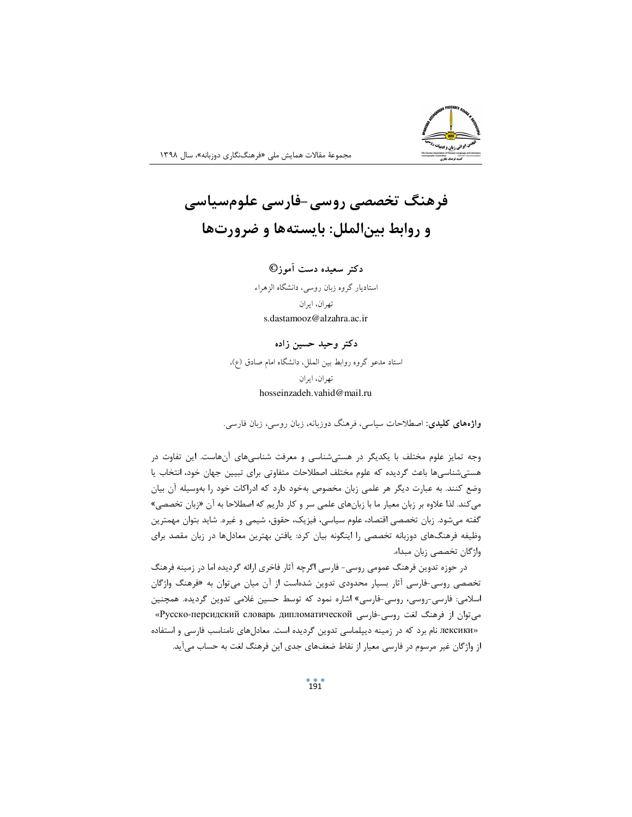## فرهنگ تخصصی روسی-فارسی علومسیاسی و روابط بینالملل: بایستهها و ضرورتها

دکتر سعیده دست آموز© استادیار گروه زبان روسی، دانشگاه الزهراء تهران، ايران s.dastamooz@alzahra.ac.ir

## دکتر وحید حسین زاده

استاد مدعو گروه روابط بين الملل، دانشگاه امام صادق (ع)، تھ ان، ابران hosseinzadeh.vahid@mail.ru

**واژههای کلیدی**: اصطلاحات سیاسی، فرهنگ دوزبانه، زبان روسی، زبان فارسی.

وجه تمایز علوم مختلف با یکدیگر در هستی شناسی و معرفت شناسی های آنهاست. این تفاوت در هستی شناسی ها باعث گردیده که علوم مختلف اصطلاحات متفاوتی برای تبیین جهان خود، انتخاب یا وضع کنند. به عبارت دیگر هر علمی زبان مخصوص بهخود دارد که ادراکات خود را بهوسیله آن بیان می کند. لذا علاوه بر زبان معیار ما با زبانهای علمی سر و کار داریم که اصطلاحا به آن «زبان تخصصی» گفته میشود. زبان تخصصی اقتصاد، علوم سیاسی، فیزیک، حقوق، شیمی و غیره. شاید بتوان مهمترین وظیفه فرهنگهای دوزبانه تخصصی را اینگونه بیان کرد: یافتن بهترین معادلها در زبان مقصد برای واژگان تخصصی زبان مبداء.

در حوزه تدوین فرهنگ عمومی روسی- فارسی اگرچه آثار فاخری ارائه گردیده اما در زمینه فرهنگ تخصصی روسی-فارسی آثار بسیار محدودی تدوین شدهاست از آن میان میتوان به «فرهنگ واژگان اسلامی: فارسی-روسی، روسی-فارسی» اشاره نمود که توسط حسین غلامی تدوین گردیده. همچنین می توان از فرهنگ لغت روسی-فارسی Русско-персидский словарь дипломатической» «лексики نام برد که در زمینه دیپلماسی تدوین گردیده است. معادلهای نامناسب فارسی و استفاده از واژگان غیر مرسوم در فارسی معیار از نقاط ضعفهای جدی این فرهنگ لغت به حساب می آید.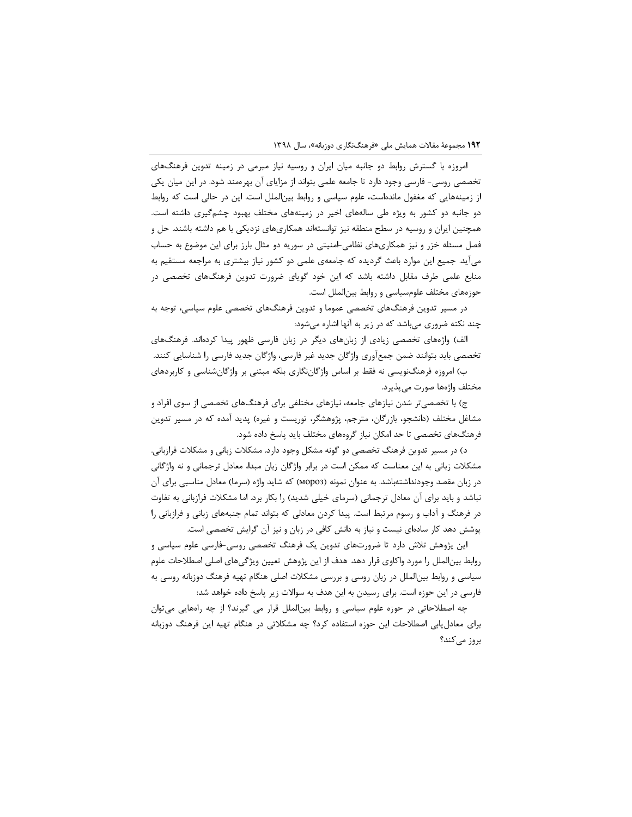امروزه با گسترش روابط دو جانبه میان ایران و روسیه نیاز مبرمی در زمینه تدوین فرهنگهای تخصصی روسی- فارسی وجود دارد تا جامعه علمی بتواند از مزایای آن بهرهمند شود. در این میان یکی از زمینههایی که مغفول ماندهاست، علوم سیاسی و روابط بینالملل است. این در حالی است که روابط دو جانبه دو کشور به ویژه طی سالههای اخیر در زمینههای مختلف بهبود چشمگیری داشته است. همچنین ایران و روسیه در سطح منطقه نیز توانستهاند همکاریهای نزدیکی با هم داشته باشند. حل و فصل مسئله خزر و نیز همکاریهای نظامی-امنیتی در سوریه دو مثال بارز برای این موضوع به حساب میآید. جمیع این موارد باعث گردیده که جامعهی علمی دو کشور نیاز بیشتری به مراجعه مستقیم به منابع علمی طرف مقابل داشته باشد که این خود گویای ضرورت تدوین فرهنگهای تخصصی در حوزههای مختلف علومسیاسی و روابط بینالملل است.

در مسیر تدوین فرهنگهای تخصصی عموما و تدوین فرهنگهای تخصصی علوم سیاسی، توجه به چند نکته ضروری میباشد که در زیر به آنها اشاره میشود:

الف) واژههای تخصصی زیادی از زبانهای دیگر در زبان فارسی ظهور پیدا کردهاند. فرهنگهای تخصصی باید بتوانند ضمن جمعآوری واژگان جدید غیر فارسی، واژگان جدید فارسی را شناسایی کنند. ب) امروزه فرهنگنویسی نه فقط بر اساس واژگاننگاری بلکه مبتنی بر واژگانشناسی و کاربردهای مختلف واژەها صورت مى پذيرد.

ج) با تخصصی تر شدن نیازهای جامعه، نیازهای مختلفی برای فرهنگهای تخصصی از سوی افراد و مشاغل مختلف (دانشجو، بازرگان، مترجم، پژوهشگر، توریست و غیره) پدید آمده که در مسیر تدوین فرهنگهای تخصصی تا حد امکان نیاز گروههای مختلف باید پاسخ داده شود.

د) در مسیر تدوین فرهنگ تخصصی دو گونه مشکل وجود دارد. مشکلات زبانی و مشکلات فرازبانی. مشکلات زبانی به این معناست که ممکن است در برابر واژگان زبان مبدا، معادل ترجمانی و نه واژگانی در زبان مقصد وجودنداشتهباشد. به عنوان نمونه (Mopo3) که شاید واژه (سرما) معادل مناسبی برای آن نباشد و باید برای آن معادل ترجمانی (سرمای خیلی شدید) را بکار برد. اما مشکلات فرازبانی به تفاوت در فرهنگ و آداب و رسوم مرتبط است. پیدا کردن معادلی که بتواند تمام جنبههای زبانی و فرازبانی را پوشش دهد کار سادهای نیست و نیاز به دانش کافی در زبان و نیز آن گرایش تخصصی است.

این پژوهش تلاش دارد تا ضرورتهای تدوین یک فرهنگ تخصصی روسی-فارسی علوم سیاسی و روابط بینالملل را مورد واکاوی قرار دهد. هدف از این پژوهش تعیین ویژگیهای اصلی اصطلاحات علوم سیاسی و روابط بین|لملل در زبان روسی و بررسی مشکلات اصلی هنگام تهیه فرهنگ دوزبانه روسی به فارسی در این حوزه است. برای رسیدن به این هدف به سوالات زیر پاسخ داده خواهد شد:

چه اصطلاحاتی در حوزه علوم سیاسی و روابط بینالملل قرار می گیرند؟ از چه راههایی می توان برای معادل یابی اصطلاحات این حوزه استفاده کرد؟ چه مشکلاتی در هنگام تهیه این فرهنگ دوزبانه بروز مے کند؟